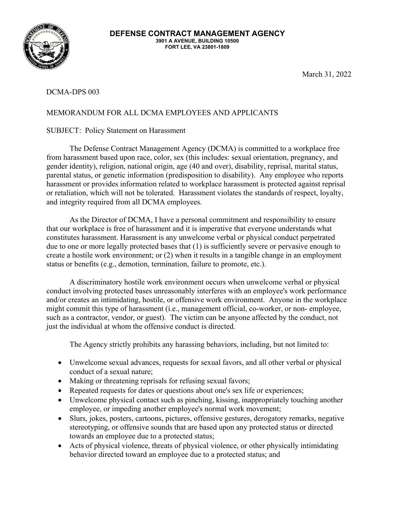

March 31, 2022

## DCMA-DPS 003

## MEMORANDUM FOR ALL DCMA EMPLOYEES AND APPLICANTS

## SUBJECT: Policy Statement on Harassment

The Defense Contract Management Agency (DCMA) is committed to a workplace free from harassment based upon race, color, sex (this includes: sexual orientation, pregnancy, and gender identity), religion, national origin, age (40 and over), disability, reprisal, marital status, parental status, or genetic information (predisposition to disability). Any employee who reports harassment or provides information related to workplace harassment is protected against reprisal or retaliation, which will not be tolerated. Harassment violates the standards of respect, loyalty, and integrity required from all DCMA employees.

As the Director of DCMA, I have a personal commitment and responsibility to ensure that our workplace is free of harassment and it is imperative that everyone understands what constitutes harassment. Harassment is any unwelcome verbal or physical conduct perpetrated due to one or more legally protected bases that (1) is sufficiently severe or pervasive enough to create a hostile work environment; or (2) when it results in a tangible change in an employment status or benefits (e.g., demotion, termination, failure to promote, etc.).

A discriminatory hostile work environment occurs when unwelcome verbal or physical conduct involving protected bases unreasonably interferes with an employee's work performance and/or creates an intimidating, hostile, or offensive work environment. Anyone in the workplace might commit this type of harassment (i.e., management official, co-worker, or non- employee, such as a contractor, vendor, or guest). The victim can be anyone affected by the conduct, not just the individual at whom the offensive conduct is directed.

The Agency strictly prohibits any harassing behaviors, including, but not limited to:

- Unwelcome sexual advances, requests for sexual favors, and all other verbal or physical conduct of a sexual nature;
- Making or threatening reprisals for refusing sexual favors;
- Repeated requests for dates or questions about one's sex life or experiences;
- Unwelcome physical contact such as pinching, kissing, inappropriately touching another employee, or impeding another employee's normal work movement;
- Slurs, jokes, posters, cartoons, pictures, offensive gestures, derogatory remarks, negative stereotyping, or offensive sounds that are based upon any protected status or directed towards an employee due to a protected status;
- Acts of physical violence, threats of physical violence, or other physically intimidating behavior directed toward an employee due to a protected status; and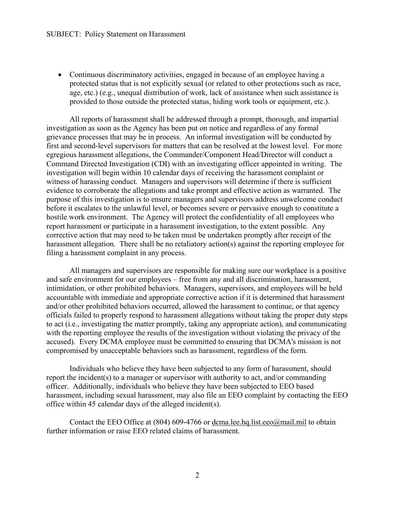• Continuous discriminatory activities, engaged in because of an employee having a protected status that is not explicitly sexual (or related to other protections such as race, age, etc.) (e.g., unequal distribution of work, lack of assistance when such assistance is provided to those outside the protected status, hiding work tools or equipment, etc.).

All reports of harassment shall be addressed through a prompt, thorough, and impartial investigation as soon as the Agency has been put on notice and regardless of any formal grievance processes that may be in process. An informal investigation will be conducted by first and second-level supervisors for matters that can be resolved at the lowest level. For more egregious harassment allegations, the Commander/Component Head/Director will conduct a Command Directed Investigation (CDI) with an investigating officer appointed in writing. The investigation will begin within 10 calendar days of receiving the harassment complaint or witness of harassing conduct. Managers and supervisors will determine if there is sufficient evidence to corroborate the allegations and take prompt and effective action as warranted. The purpose of this investigation is to ensure managers and supervisors address unwelcome conduct before it escalates to the unlawful level, or becomes severe or pervasive enough to constitute a hostile work environment. The Agency will protect the confidentiality of all employees who report harassment or participate in a harassment investigation, to the extent possible. Any corrective action that may need to be taken must be undertaken promptly after receipt of the harassment allegation. There shall be no retaliatory action(s) against the reporting employee for filing a harassment complaint in any process.

All managers and supervisors are responsible for making sure our workplace is a positive and safe environment for our employees – free from any and all discrimination, harassment, intimidation, or other prohibited behaviors. Managers, supervisors, and employees will be held accountable with immediate and appropriate corrective action if it is determined that harassment and/or other prohibited behaviors occurred, allowed the harassment to continue, or that agency officials failed to properly respond to harassment allegations without taking the proper duty steps to act (i.e., investigating the matter promptly, taking any appropriate action), and communicating with the reporting employee the results of the investigation without violating the privacy of the accused). Every DCMA employee must be committed to ensuring that DCMA's mission is not compromised by unacceptable behaviors such as harassment, regardless of the form.

Individuals who believe they have been subjected to any form of harassment, should report the incident(s) to a manager or supervisor with authority to act, and/or commanding officer. Additionally, individuals who believe they have been subjected to EEO based harassment, including sexual harassment, may also file an EEO complaint by contacting the EEO office within 45 calendar days of the alleged incident(s).

Contact the EEO Office at (804) 609-4766 or [dcma.lee.hq.list.eeo@mail.mil](mailto:dcma.lee.hq.list.eeo@mail.mil) to obtain further information or raise EEO related claims of harassment.